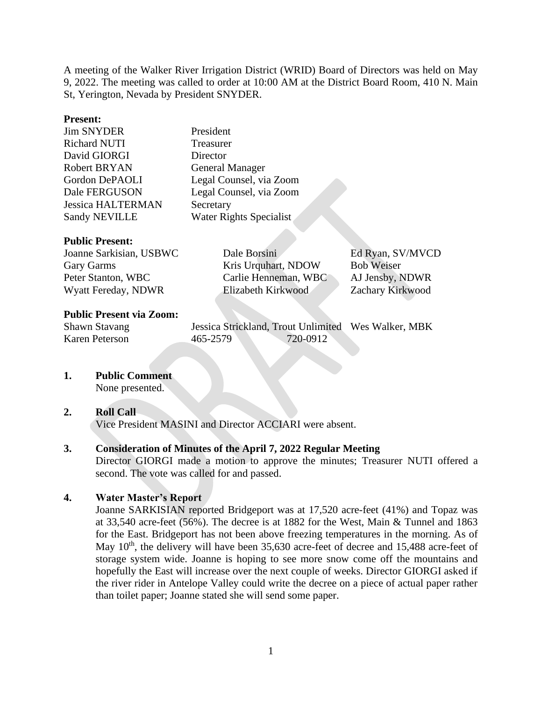A meeting of the Walker River Irrigation District (WRID) Board of Directors was held on May 9, 2022. The meeting was called to order at 10:00 AM at the District Board Room, 410 N. Main St, Yerington, Nevada by President SNYDER.

### **Present:**

Jim SNYDER President Richard NUTI Treasurer David GIORGI Director Robert BRYAN General Manager Gordon DePAOLI Legal Counsel, via Zoom Dale FERGUSON Legal Counsel, via Zoom Jessica HALTERMAN Secretary Sandy NEVILLE Water Rights Specialist

### **Public Present:**

| Joanne Sarkisian, USBWC | Dale Borsini         | Ed Ryan, SV/MVCD  |
|-------------------------|----------------------|-------------------|
| Gary Garms              | Kris Urquhart, NDOW  | <b>Bob Weiser</b> |
| Peter Stanton, WBC      | Carlie Henneman, WBC | AJ Jensby, NDWR   |
| Wyatt Fereday, NDWR     | Elizabeth Kirkwood   | Zachary Kirkwood  |

### **Public Present via Zoom:**

Shawn Stavang Jessica Strickland, Trout Unlimited Wes Walker, MBK Karen Peterson 465-2579 720-0912

**1. Public Comment**

None presented.

### **2. Roll Call**

Vice President MASINI and Director ACCIARI were absent.

### **3. Consideration of Minutes of the April 7, 2022 Regular Meeting**

Director GIORGI made a motion to approve the minutes; Treasurer NUTI offered a second. The vote was called for and passed.

### **4. Water Master's Report**

Joanne SARKISIAN reported Bridgeport was at 17,520 acre-feet (41%) and Topaz was at 33,540 acre-feet (56%). The decree is at 1882 for the West, Main & Tunnel and 1863 for the East. Bridgeport has not been above freezing temperatures in the morning. As of May  $10<sup>th</sup>$ , the delivery will have been 35,630 acre-feet of decree and 15,488 acre-feet of storage system wide. Joanne is hoping to see more snow come off the mountains and hopefully the East will increase over the next couple of weeks. Director GIORGI asked if the river rider in Antelope Valley could write the decree on a piece of actual paper rather than toilet paper; Joanne stated she will send some paper.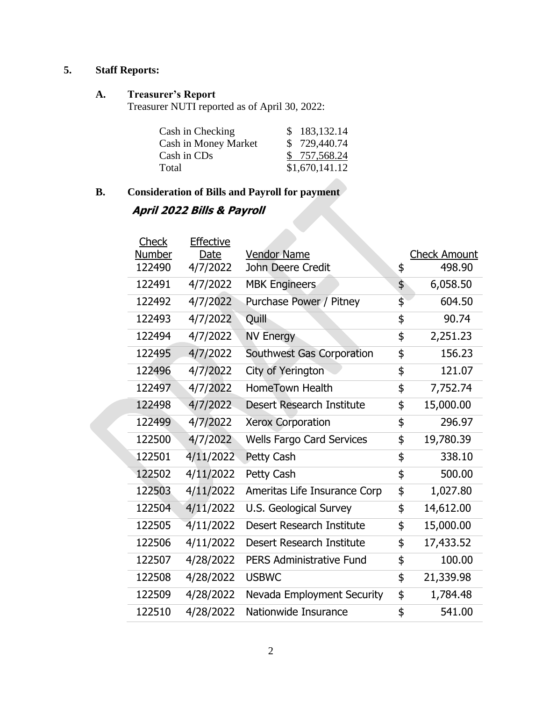## **5. Staff Reports:**

### **A. Treasurer's Report**

Treasurer NUTI reported as of April 30, 2022:

| Cash in Checking     | \$183,132.14   |
|----------------------|----------------|
| Cash in Money Market | \$729,440.74   |
| Cash in CDs          | \$757,568.24   |
| Total                | \$1,670,141.12 |

# **B. Consideration of Bills and Payroll for payment**

### **April 2022 Bills & Payroll**

| Check  | <b>Effective</b> |                                  |                     |
|--------|------------------|----------------------------------|---------------------|
| Number | Date             | <b>Vendor Name</b>               | <b>Check Amount</b> |
| 122490 | 4/7/2022         | John Deere Credit                | \$<br>498.90        |
| 122491 | 4/7/2022         | <b>MBK Engineers</b>             | \$<br>6,058.50      |
| 122492 | 4/7/2022         | Purchase Power / Pitney          | \$<br>604.50        |
| 122493 | 4/7/2022         | Quill                            | \$<br>90.74         |
| 122494 | 4/7/2022         | <b>NV Energy</b>                 | \$<br>2,251.23      |
| 122495 | 4/7/2022         | Southwest Gas Corporation        | \$<br>156.23        |
| 122496 | 4/7/2022         | City of Yerington                | \$<br>121.07        |
| 122497 | 4/7/2022         | <b>HomeTown Health</b>           | \$<br>7,752.74      |
| 122498 | 4/7/2022         | Desert Research Institute        | \$<br>15,000.00     |
| 122499 | 4/7/2022         | <b>Xerox Corporation</b>         | \$<br>296.97        |
| 122500 | 4/7/2022         | <b>Wells Fargo Card Services</b> | \$<br>19,780.39     |
| 122501 | 4/11/2022        | Petty Cash                       | \$<br>338.10        |
| 122502 | 4/11/2022        | Petty Cash                       | \$<br>500.00        |
| 122503 | 4/11/2022        | Ameritas Life Insurance Corp     | \$<br>1,027.80      |
| 122504 | 4/11/2022        | U.S. Geological Survey           | \$<br>14,612.00     |
| 122505 | 4/11/2022        | Desert Research Institute        | \$<br>15,000.00     |
| 122506 | 4/11/2022        | Desert Research Institute        | \$<br>17,433.52     |
| 122507 | 4/28/2022        | <b>PERS Administrative Fund</b>  | \$<br>100.00        |
| 122508 | 4/28/2022        | <b>USBWC</b>                     | \$<br>21,339.98     |
| 122509 | 4/28/2022        | Nevada Employment Security       | \$<br>1,784.48      |
| 122510 | 4/28/2022        | Nationwide Insurance             | \$<br>541.00        |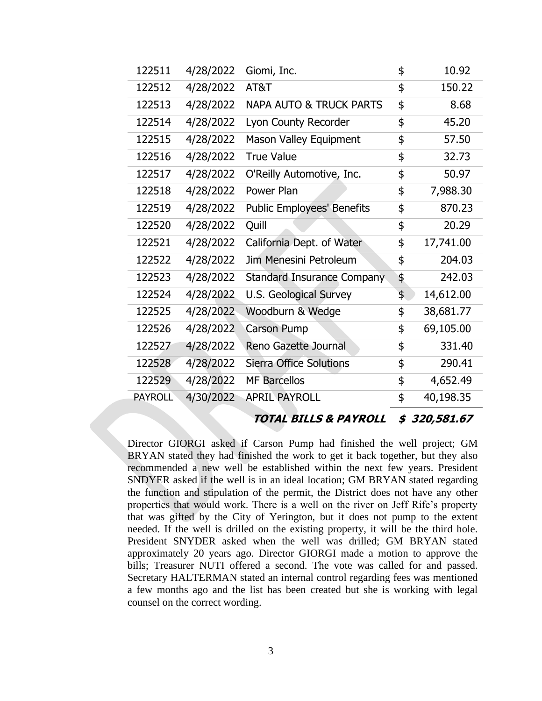| 122511         | 4/28/2022 | Giomi, Inc.                        | \$<br>10.92      |
|----------------|-----------|------------------------------------|------------------|
| 122512         | 4/28/2022 | AT&T                               | \$<br>150.22     |
| 122513         | 4/28/2022 | <b>NAPA AUTO &amp; TRUCK PARTS</b> | \$<br>8.68       |
| 122514         | 4/28/2022 | Lyon County Recorder               | \$<br>45.20      |
| 122515         | 4/28/2022 | Mason Valley Equipment             | \$<br>57.50      |
| 122516         | 4/28/2022 | <b>True Value</b>                  | \$<br>32.73      |
| 122517         | 4/28/2022 | O'Reilly Automotive, Inc.          | \$<br>50.97      |
| 122518         | 4/28/2022 | Power Plan                         | \$<br>7,988.30   |
| 122519         | 4/28/2022 | <b>Public Employees' Benefits</b>  | \$<br>870.23     |
| 122520         | 4/28/2022 | Quill                              | \$<br>20.29      |
| 122521         | 4/28/2022 | California Dept. of Water          | \$<br>17,741.00  |
| 122522         | 4/28/2022 | Jim Menesini Petroleum             | \$<br>204.03     |
| 122523         | 4/28/2022 | <b>Standard Insurance Company</b>  | \$<br>242.03     |
| 122524         | 4/28/2022 | U.S. Geological Survey             | \$<br>14,612.00  |
| 122525         | 4/28/2022 | Woodburn & Wedge                   | \$<br>38,681.77  |
| 122526         | 4/28/2022 | <b>Carson Pump</b>                 | \$<br>69,105.00  |
| 122527         | 4/28/2022 | Reno Gazette Journal               | \$<br>331.40     |
| 122528         | 4/28/2022 | <b>Sierra Office Solutions</b>     | \$<br>290.41     |
| 122529         | 4/28/2022 | <b>MF Barcellos</b>                | \$<br>4,652.49   |
| <b>PAYROLL</b> | 4/30/2022 | <b>APRIL PAYROLL</b>               | \$<br>40,198.35  |
|                |           | TOTAL BILLS & PAYROLL              | \$<br>320,581.67 |

Director GIORGI asked if Carson Pump had finished the well project; GM BRYAN stated they had finished the work to get it back together, but they also recommended a new well be established within the next few years. President SNDYER asked if the well is in an ideal location; GM BRYAN stated regarding the function and stipulation of the permit, the District does not have any other properties that would work. There is a well on the river on Jeff Rife's property that was gifted by the City of Yerington, but it does not pump to the extent needed. If the well is drilled on the existing property, it will be the third hole. President SNYDER asked when the well was drilled; GM BRYAN stated approximately 20 years ago. Director GIORGI made a motion to approve the bills; Treasurer NUTI offered a second. The vote was called for and passed. Secretary HALTERMAN stated an internal control regarding fees was mentioned a few months ago and the list has been created but she is working with legal counsel on the correct wording.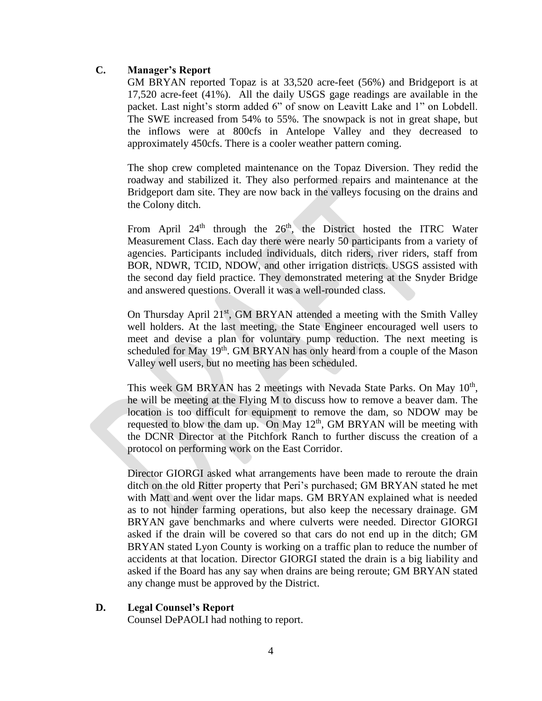### **C. Manager's Report**

GM BRYAN reported Topaz is at 33,520 acre-feet (56%) and Bridgeport is at 17,520 acre-feet (41%). All the daily USGS gage readings are available in the packet. Last night's storm added 6" of snow on Leavitt Lake and 1" on Lobdell. The SWE increased from 54% to 55%. The snowpack is not in great shape, but the inflows were at 800cfs in Antelope Valley and they decreased to approximately 450cfs. There is a cooler weather pattern coming.

The shop crew completed maintenance on the Topaz Diversion. They redid the roadway and stabilized it. They also performed repairs and maintenance at the Bridgeport dam site. They are now back in the valleys focusing on the drains and the Colony ditch.

From April  $24<sup>th</sup>$  through the  $26<sup>th</sup>$ , the District hosted the ITRC Water Measurement Class. Each day there were nearly 50 participants from a variety of agencies. Participants included individuals, ditch riders, river riders, staff from BOR, NDWR, TCID, NDOW, and other irrigation districts. USGS assisted with the second day field practice. They demonstrated metering at the Snyder Bridge and answered questions. Overall it was a well-rounded class.

On Thursday April 21<sup>st</sup>, GM BRYAN attended a meeting with the Smith Valley well holders. At the last meeting, the State Engineer encouraged well users to meet and devise a plan for voluntary pump reduction. The next meeting is scheduled for May  $19<sup>th</sup>$ . GM BRYAN has only heard from a couple of the Mason Valley well users, but no meeting has been scheduled.

This week GM BRYAN has 2 meetings with Nevada State Parks. On May 10<sup>th</sup>, he will be meeting at the Flying M to discuss how to remove a beaver dam. The location is too difficult for equipment to remove the dam, so NDOW may be requested to blow the dam up. On May  $12<sup>th</sup>$ , GM BRYAN will be meeting with the DCNR Director at the Pitchfork Ranch to further discuss the creation of a protocol on performing work on the East Corridor.

Director GIORGI asked what arrangements have been made to reroute the drain ditch on the old Ritter property that Peri's purchased; GM BRYAN stated he met with Matt and went over the lidar maps. GM BRYAN explained what is needed as to not hinder farming operations, but also keep the necessary drainage. GM BRYAN gave benchmarks and where culverts were needed. Director GIORGI asked if the drain will be covered so that cars do not end up in the ditch; GM BRYAN stated Lyon County is working on a traffic plan to reduce the number of accidents at that location. Director GIORGI stated the drain is a big liability and asked if the Board has any say when drains are being reroute; GM BRYAN stated any change must be approved by the District.

### **D. Legal Counsel's Report**

Counsel DePAOLI had nothing to report.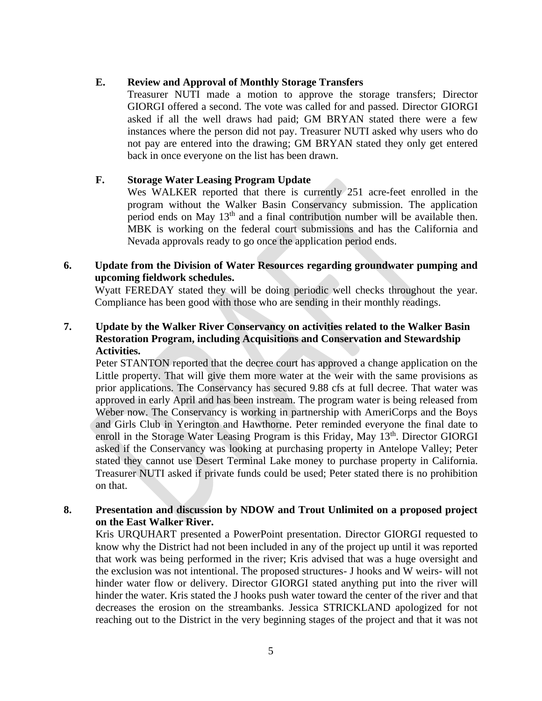### **E. Review and Approval of Monthly Storage Transfers**

Treasurer NUTI made a motion to approve the storage transfers; Director GIORGI offered a second. The vote was called for and passed. Director GIORGI asked if all the well draws had paid; GM BRYAN stated there were a few instances where the person did not pay. Treasurer NUTI asked why users who do not pay are entered into the drawing; GM BRYAN stated they only get entered back in once everyone on the list has been drawn.

### **F. Storage Water Leasing Program Update**

Wes WALKER reported that there is currently 251 acre-feet enrolled in the program without the Walker Basin Conservancy submission. The application period ends on May 13th and a final contribution number will be available then. MBK is working on the federal court submissions and has the California and Nevada approvals ready to go once the application period ends.

### **6. Update from the Division of Water Resources regarding groundwater pumping and upcoming fieldwork schedules.**

Wyatt FEREDAY stated they will be doing periodic well checks throughout the year. Compliance has been good with those who are sending in their monthly readings.

### **7. Update by the Walker River Conservancy on activities related to the Walker Basin Restoration Program, including Acquisitions and Conservation and Stewardship Activities.**

Peter STANTON reported that the decree court has approved a change application on the Little property. That will give them more water at the weir with the same provisions as prior applications. The Conservancy has secured 9.88 cfs at full decree. That water was approved in early April and has been instream. The program water is being released from Weber now. The Conservancy is working in partnership with AmeriCorps and the Boys and Girls Club in Yerington and Hawthorne. Peter reminded everyone the final date to enroll in the Storage Water Leasing Program is this Friday, May 13<sup>th</sup>. Director GIORGI asked if the Conservancy was looking at purchasing property in Antelope Valley; Peter stated they cannot use Desert Terminal Lake money to purchase property in California. Treasurer NUTI asked if private funds could be used; Peter stated there is no prohibition on that.

### **8. Presentation and discussion by NDOW and Trout Unlimited on a proposed project on the East Walker River.**

Kris URQUHART presented a PowerPoint presentation. Director GIORGI requested to know why the District had not been included in any of the project up until it was reported that work was being performed in the river; Kris advised that was a huge oversight and the exclusion was not intentional. The proposed structures- J hooks and W weirs- will not hinder water flow or delivery. Director GIORGI stated anything put into the river will hinder the water. Kris stated the J hooks push water toward the center of the river and that decreases the erosion on the streambanks. Jessica STRICKLAND apologized for not reaching out to the District in the very beginning stages of the project and that it was not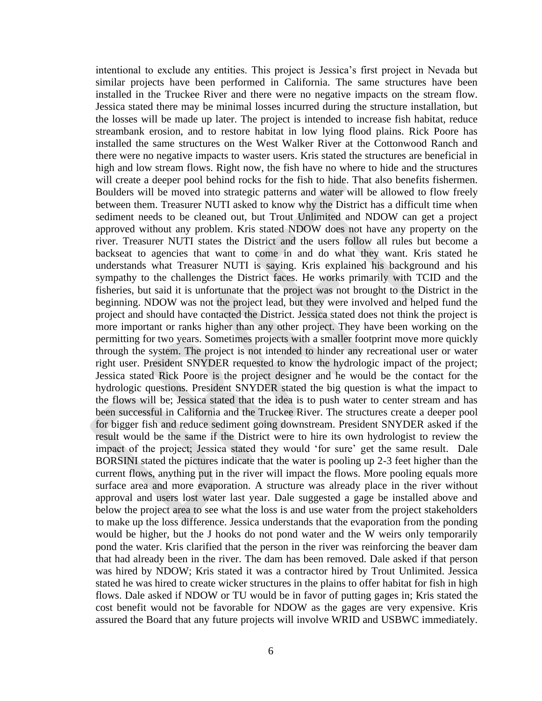intentional to exclude any entities. This project is Jessica's first project in Nevada but similar projects have been performed in California. The same structures have been installed in the Truckee River and there were no negative impacts on the stream flow. Jessica stated there may be minimal losses incurred during the structure installation, but the losses will be made up later. The project is intended to increase fish habitat, reduce streambank erosion, and to restore habitat in low lying flood plains. Rick Poore has installed the same structures on the West Walker River at the Cottonwood Ranch and there were no negative impacts to waster users. Kris stated the structures are beneficial in high and low stream flows. Right now, the fish have no where to hide and the structures will create a deeper pool behind rocks for the fish to hide. That also benefits fishermen. Boulders will be moved into strategic patterns and water will be allowed to flow freely between them. Treasurer NUTI asked to know why the District has a difficult time when sediment needs to be cleaned out, but Trout Unlimited and NDOW can get a project approved without any problem. Kris stated NDOW does not have any property on the river. Treasurer NUTI states the District and the users follow all rules but become a backseat to agencies that want to come in and do what they want. Kris stated he understands what Treasurer NUTI is saying. Kris explained his background and his sympathy to the challenges the District faces. He works primarily with TCID and the fisheries, but said it is unfortunate that the project was not brought to the District in the beginning. NDOW was not the project lead, but they were involved and helped fund the project and should have contacted the District. Jessica stated does not think the project is more important or ranks higher than any other project. They have been working on the permitting for two years. Sometimes projects with a smaller footprint move more quickly through the system. The project is not intended to hinder any recreational user or water right user. President SNYDER requested to know the hydrologic impact of the project; Jessica stated Rick Poore is the project designer and he would be the contact for the hydrologic questions. President SNYDER stated the big question is what the impact to the flows will be; Jessica stated that the idea is to push water to center stream and has been successful in California and the Truckee River. The structures create a deeper pool for bigger fish and reduce sediment going downstream. President SNYDER asked if the result would be the same if the District were to hire its own hydrologist to review the impact of the project; Jessica stated they would 'for sure' get the same result. Dale BORSINI stated the pictures indicate that the water is pooling up 2-3 feet higher than the current flows, anything put in the river will impact the flows. More pooling equals more surface area and more evaporation. A structure was already place in the river without approval and users lost water last year. Dale suggested a gage be installed above and below the project area to see what the loss is and use water from the project stakeholders to make up the loss difference. Jessica understands that the evaporation from the ponding would be higher, but the J hooks do not pond water and the W weirs only temporarily pond the water. Kris clarified that the person in the river was reinforcing the beaver dam that had already been in the river. The dam has been removed. Dale asked if that person was hired by NDOW; Kris stated it was a contractor hired by Trout Unlimited. Jessica stated he was hired to create wicker structures in the plains to offer habitat for fish in high flows. Dale asked if NDOW or TU would be in favor of putting gages in; Kris stated the cost benefit would not be favorable for NDOW as the gages are very expensive. Kris assured the Board that any future projects will involve WRID and USBWC immediately.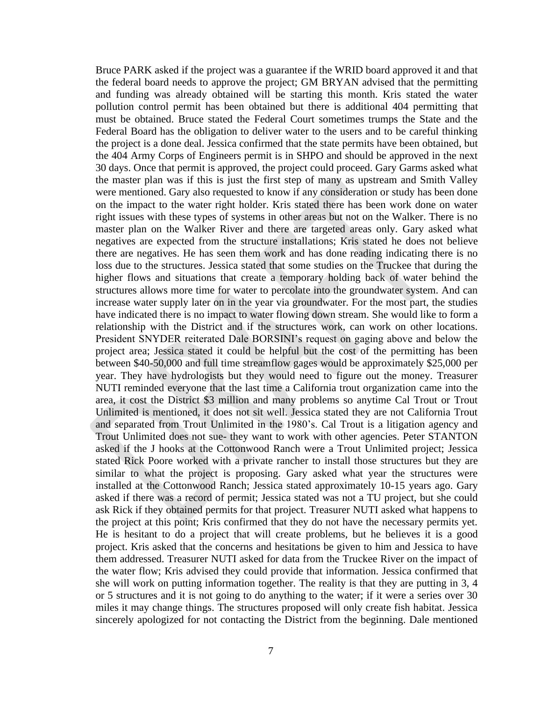Bruce PARK asked if the project was a guarantee if the WRID board approved it and that the federal board needs to approve the project; GM BRYAN advised that the permitting and funding was already obtained will be starting this month. Kris stated the water pollution control permit has been obtained but there is additional 404 permitting that must be obtained. Bruce stated the Federal Court sometimes trumps the State and the Federal Board has the obligation to deliver water to the users and to be careful thinking the project is a done deal. Jessica confirmed that the state permits have been obtained, but the 404 Army Corps of Engineers permit is in SHPO and should be approved in the next 30 days. Once that permit is approved, the project could proceed. Gary Garms asked what the master plan was if this is just the first step of many as upstream and Smith Valley were mentioned. Gary also requested to know if any consideration or study has been done on the impact to the water right holder. Kris stated there has been work done on water right issues with these types of systems in other areas but not on the Walker. There is no master plan on the Walker River and there are targeted areas only. Gary asked what negatives are expected from the structure installations; Kris stated he does not believe there are negatives. He has seen them work and has done reading indicating there is no loss due to the structures. Jessica stated that some studies on the Truckee that during the higher flows and situations that create a temporary holding back of water behind the structures allows more time for water to percolate into the groundwater system. And can increase water supply later on in the year via groundwater. For the most part, the studies have indicated there is no impact to water flowing down stream. She would like to form a relationship with the District and if the structures work, can work on other locations. President SNYDER reiterated Dale BORSINI's request on gaging above and below the project area; Jessica stated it could be helpful but the cost of the permitting has been between \$40-50,000 and full time streamflow gages would be approximately \$25,000 per year. They have hydrologists but they would need to figure out the money. Treasurer NUTI reminded everyone that the last time a California trout organization came into the area, it cost the District \$3 million and many problems so anytime Cal Trout or Trout Unlimited is mentioned, it does not sit well. Jessica stated they are not California Trout and separated from Trout Unlimited in the 1980's. Cal Trout is a litigation agency and Trout Unlimited does not sue- they want to work with other agencies. Peter STANTON asked if the J hooks at the Cottonwood Ranch were a Trout Unlimited project; Jessica stated Rick Poore worked with a private rancher to install those structures but they are similar to what the project is proposing. Gary asked what year the structures were installed at the Cottonwood Ranch; Jessica stated approximately 10-15 years ago. Gary asked if there was a record of permit; Jessica stated was not a TU project, but she could ask Rick if they obtained permits for that project. Treasurer NUTI asked what happens to the project at this point; Kris confirmed that they do not have the necessary permits yet. He is hesitant to do a project that will create problems, but he believes it is a good project. Kris asked that the concerns and hesitations be given to him and Jessica to have them addressed. Treasurer NUTI asked for data from the Truckee River on the impact of the water flow; Kris advised they could provide that information. Jessica confirmed that she will work on putting information together. The reality is that they are putting in 3, 4 or 5 structures and it is not going to do anything to the water; if it were a series over 30 miles it may change things. The structures proposed will only create fish habitat. Jessica sincerely apologized for not contacting the District from the beginning. Dale mentioned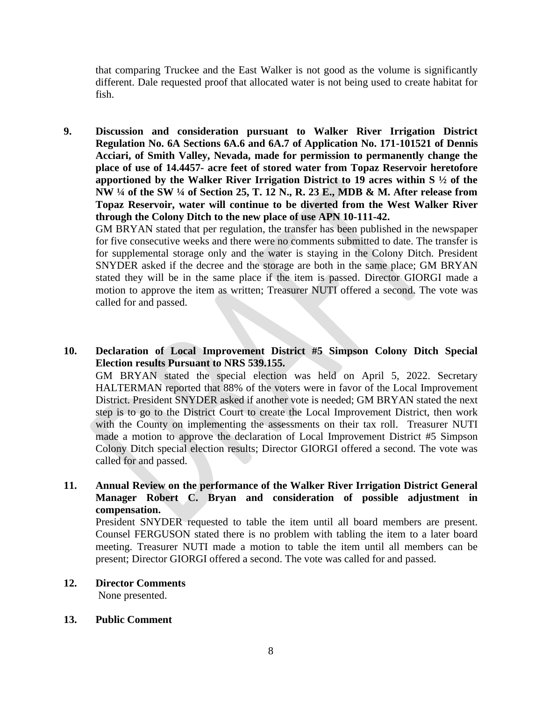that comparing Truckee and the East Walker is not good as the volume is significantly different. Dale requested proof that allocated water is not being used to create habitat for fish.

**9. Discussion and consideration pursuant to Walker River Irrigation District Regulation No. 6A Sections 6A.6 and 6A.7 of Application No. 171-101521 of Dennis Acciari, of Smith Valley, Nevada, made for permission to permanently change the place of use of 14.4457- acre feet of stored water from Topaz Reservoir heretofore apportioned by the Walker River Irrigation District to 19 acres within S ½ of the NW ¼ of the SW ¼ of Section 25, T. 12 N., R. 23 E., MDB & M. After release from Topaz Reservoir, water will continue to be diverted from the West Walker River through the Colony Ditch to the new place of use APN 10-111-42.**

GM BRYAN stated that per regulation, the transfer has been published in the newspaper for five consecutive weeks and there were no comments submitted to date. The transfer is for supplemental storage only and the water is staying in the Colony Ditch. President SNYDER asked if the decree and the storage are both in the same place; GM BRYAN stated they will be in the same place if the item is passed. Director GIORGI made a motion to approve the item as written; Treasurer NUTI offered a second. The vote was called for and passed.

**10. Declaration of Local Improvement District #5 Simpson Colony Ditch Special Election results Pursuant to NRS 539.155.**

GM BRYAN stated the special election was held on April 5, 2022. Secretary HALTERMAN reported that 88% of the voters were in favor of the Local Improvement District. President SNYDER asked if another vote is needed; GM BRYAN stated the next step is to go to the District Court to create the Local Improvement District, then work with the County on implementing the assessments on their tax roll. Treasurer NUTI made a motion to approve the declaration of Local Improvement District #5 Simpson Colony Ditch special election results; Director GIORGI offered a second. The vote was called for and passed.

**11. Annual Review on the performance of the Walker River Irrigation District General Manager Robert C. Bryan and consideration of possible adjustment in compensation.**

President SNYDER requested to table the item until all board members are present. Counsel FERGUSON stated there is no problem with tabling the item to a later board meeting. Treasurer NUTI made a motion to table the item until all members can be present; Director GIORGI offered a second. The vote was called for and passed.

- **12. Director Comments** None presented.
- **13. Public Comment**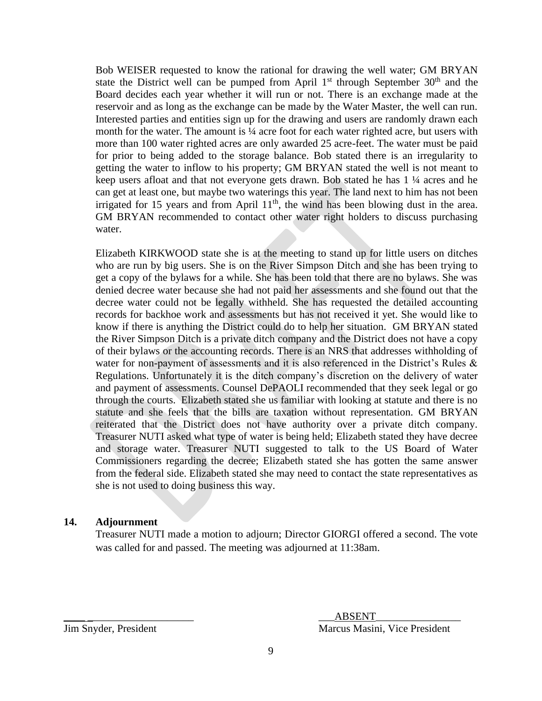Bob WEISER requested to know the rational for drawing the well water; GM BRYAN state the District well can be pumped from April  $1<sup>st</sup>$  through September  $30<sup>th</sup>$  and the Board decides each year whether it will run or not. There is an exchange made at the reservoir and as long as the exchange can be made by the Water Master, the well can run. Interested parties and entities sign up for the drawing and users are randomly drawn each month for the water. The amount is <sup>1/4</sup> acre foot for each water righted acre, but users with more than 100 water righted acres are only awarded 25 acre-feet. The water must be paid for prior to being added to the storage balance. Bob stated there is an irregularity to getting the water to inflow to his property; GM BRYAN stated the well is not meant to keep users afloat and that not everyone gets drawn. Bob stated he has 1 ¼ acres and he can get at least one, but maybe two waterings this year. The land next to him has not been irrigated for 15 years and from April  $11<sup>th</sup>$ , the wind has been blowing dust in the area. GM BRYAN recommended to contact other water right holders to discuss purchasing water.

Elizabeth KIRKWOOD state she is at the meeting to stand up for little users on ditches who are run by big users. She is on the River Simpson Ditch and she has been trying to get a copy of the bylaws for a while. She has been told that there are no bylaws. She was denied decree water because she had not paid her assessments and she found out that the decree water could not be legally withheld. She has requested the detailed accounting records for backhoe work and assessments but has not received it yet. She would like to know if there is anything the District could do to help her situation. GM BRYAN stated the River Simpson Ditch is a private ditch company and the District does not have a copy of their bylaws or the accounting records. There is an NRS that addresses withholding of water for non-payment of assessments and it is also referenced in the District's Rules & Regulations. Unfortunately it is the ditch company's discretion on the delivery of water and payment of assessments. Counsel DePAOLI recommended that they seek legal or go through the courts. Elizabeth stated she us familiar with looking at statute and there is no statute and she feels that the bills are taxation without representation. GM BRYAN reiterated that the District does not have authority over a private ditch company. Treasurer NUTI asked what type of water is being held; Elizabeth stated they have decree and storage water. Treasurer NUTI suggested to talk to the US Board of Water Commissioners regarding the decree; Elizabeth stated she has gotten the same answer from the federal side. Elizabeth stated she may need to contact the state representatives as she is not used to doing business this way.

### **14. Adjournment**

Treasurer NUTI made a motion to adjourn; Director GIORGI offered a second. The vote was called for and passed. The meeting was adjourned at 11:38am.

 $\overline{\text{ABSENT}}$ Jim Snyder, President Marcus Masini, Vice President